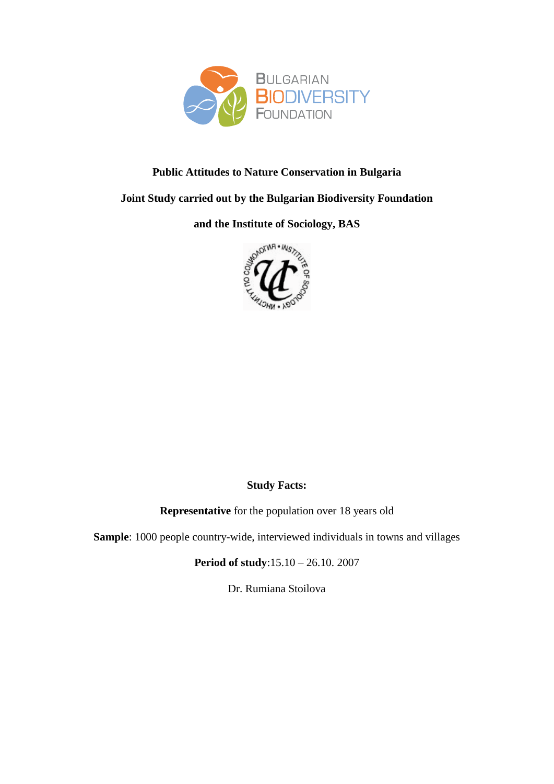

### **Public Attitudes to Nature Conservation in Bulgaria**

#### **Joint Study carried out by the Bulgarian Biodiversity Foundation**

**and the Institute of Sociology, BAS**



### **Study Facts:**

**Representative** for the population over 18 years old

**Sample**: 1000 people country-wide, interviewed individuals in towns and villages

**Period of study**:15.10 – 26.10. 2007

Dr. Rumiana Stoilova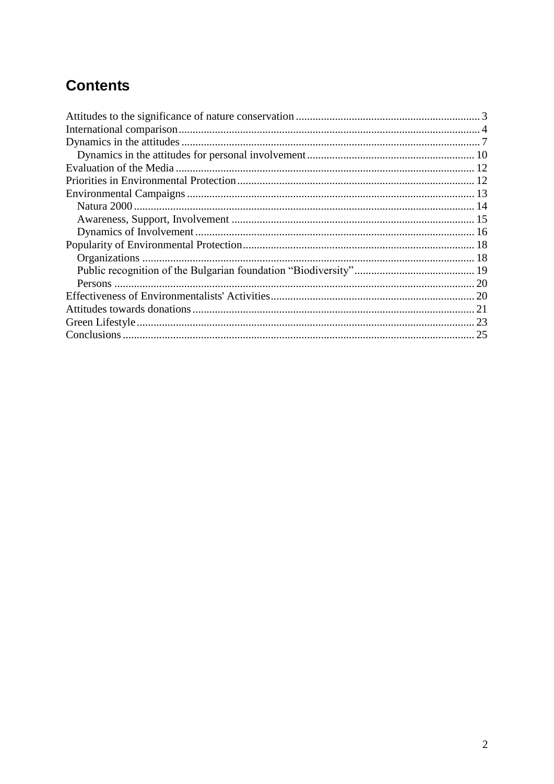# **Contents**

<span id="page-1-0"></span>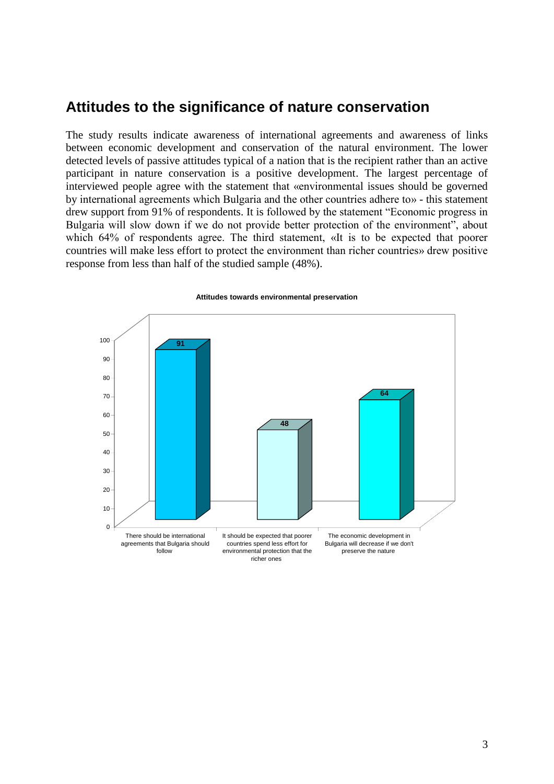# **Attitudes to the significance of nature conservation**

The study results indicate awareness of international agreements and awareness of links between economic development and conservation of the natural environment. The lower detected levels of passive attitudes typical of a nation that is the recipient rather than an active participant in nature conservation is a positive development. The largest percentage of interviewed people agree with the statement that «environmental issues should be governed by international agreements which Bulgaria and the other countries adhere to» - this statement drew support from 91% of respondents. It is followed by the statement "Economic progress in Bulgaria will slow down if we do not provide better protection of the environment", about which 64% of respondents agree. The third statement, «It is to be expected that poorer countries will make less effort to protect the environment than richer countries» drew positive response from less than half of the studied sample (48%).



#### **Attitudes towards environmental preservation**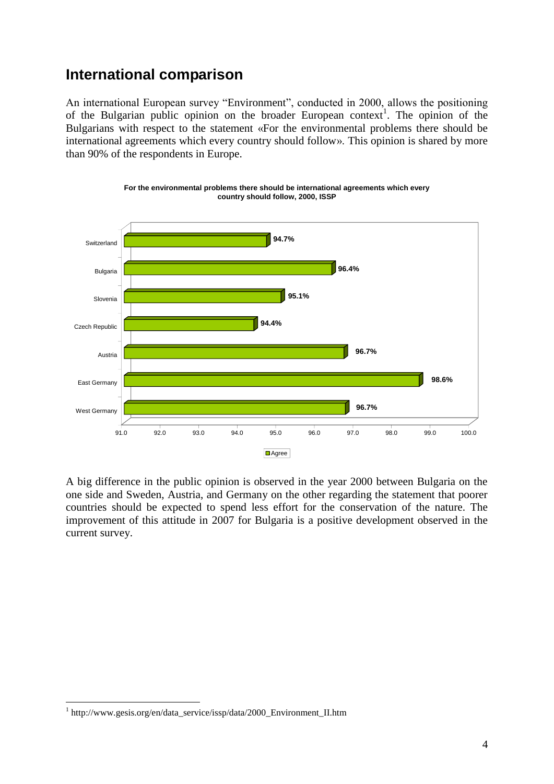# <span id="page-3-0"></span>**International comparison**

An international European survey "Environment", conducted in 2000, allows the positioning of the Bulgarian public opinion on the broader European context<sup>1</sup>. The opinion of the Bulgarians with respect to the statement «For the environmental problems there should be international agreements which every country should follow». This opinion is shared by more than 90% of the respondents in Europe.





A big difference in the public opinion is observed in the year 2000 between Bulgaria on the one side and Sweden, Austria, and Germany on the other regarding the statement that poorer countries should be expected to spend less effort for the conservation of the nature. The improvement of this attitude in 2007 for Bulgaria is a positive development observed in the current survey.

1

<sup>&</sup>lt;sup>1</sup> http://www.gesis.org/en/data\_service/issp/data/2000\_Environment\_II.htm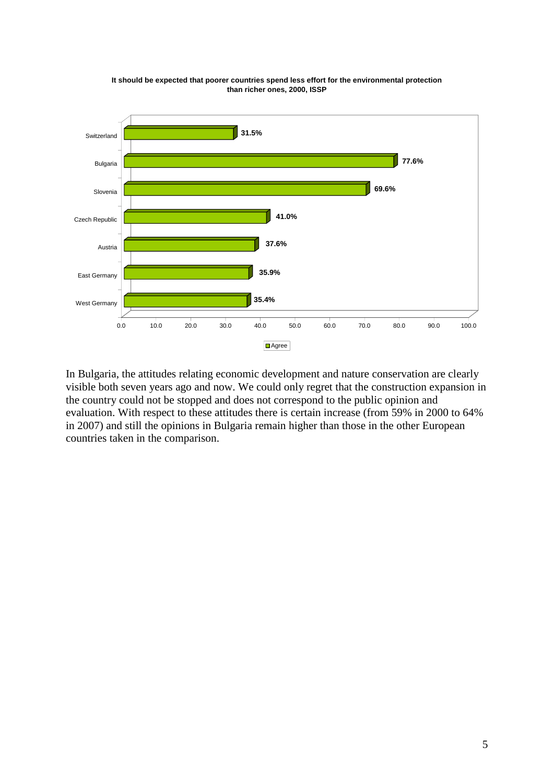

**It should be expected that poorer countries spend less effort for the environmental protection than richer ones, 2000, ISSP**

In Bulgaria, the attitudes relating economic development and nature conservation are clearly visible both seven years ago and now. We could only regret that the construction expansion in the country could not be stopped and does not correspond to the public opinion and evaluation. With respect to these attitudes there is certain increase (from 59% in 2000 to 64% in 2007) and still the opinions in Bulgaria remain higher than those in the other European countries taken in the comparison.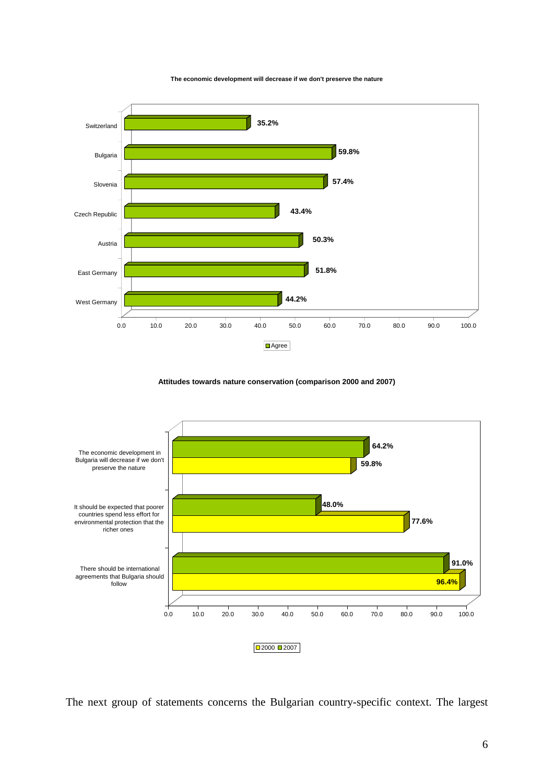

**The economic development will decrease if we don't preserve the nature**

**Attitudes towards nature conservation (comparison 2000 and 2007)**



The next group of statements concerns the Bulgarian country-specific context. The largest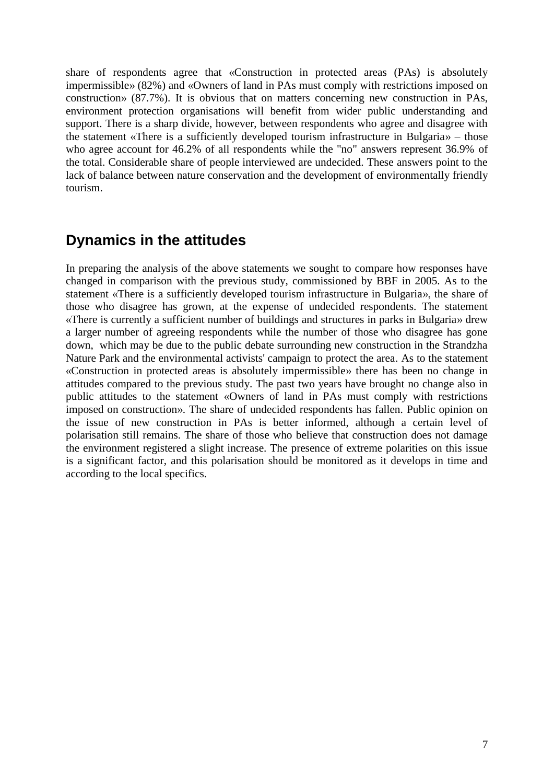share of respondents agree that «Construction in protected areas (PAs) is absolutely impermissible» (82%) and «Owners of land in PAs must comply with restrictions imposed on construction» (87.7%). It is obvious that on matters concerning new construction in PAs, environment protection organisations will benefit from wider public understanding and support. There is a sharp divide, however, between respondents who agree and disagree with the statement «There is a sufficiently developed tourism infrastructure in Bulgaria» – those who agree account for 46.2% of all respondents while the "no" answers represent 36.9% of the total. Considerable share of people interviewed are undecided. These answers point to the lack of balance between nature conservation and the development of environmentally friendly tourism.

## <span id="page-6-0"></span>**Dynamics in the attitudes**

In preparing the analysis of the above statements we sought to compare how responses have changed in comparison with the previous study, commissioned by BBF in 2005. As to the statement «There is a sufficiently developed tourism infrastructure in Bulgaria», the share of those who disagree has grown, at the expense of undecided respondents. The statement «There is currently a sufficient number of buildings and structures in parks in Bulgaria» drew a larger number of agreeing respondents while the number of those who disagree has gone down, which may be due to the public debate surrounding new construction in the Strandzha Nature Park and the environmental activists' campaign to protect the area. As to the statement «Construction in protected areas is absolutely impermissible» there has been no change in attitudes compared to the previous study. The past two years have brought no change also in public attitudes to the statement «Owners of land in PAs must comply with restrictions imposed on construction». The share of undecided respondents has fallen. Public opinion on the issue of new construction in PAs is better informed, although a certain level of polarisation still remains. The share of those who believe that construction does not damage the environment registered a slight increase. The presence of extreme polarities on this issue is a significant factor, and this polarisation should be monitored as it develops in time and according to the local specifics.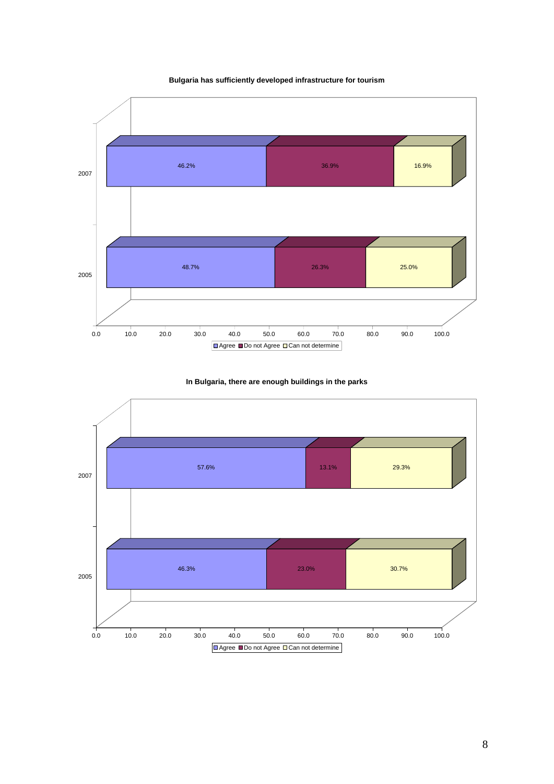**Bulgaria has sufficiently developed infrastructure for tourism** 



#### **In Bulgaria, there are enough buildings in the parks**

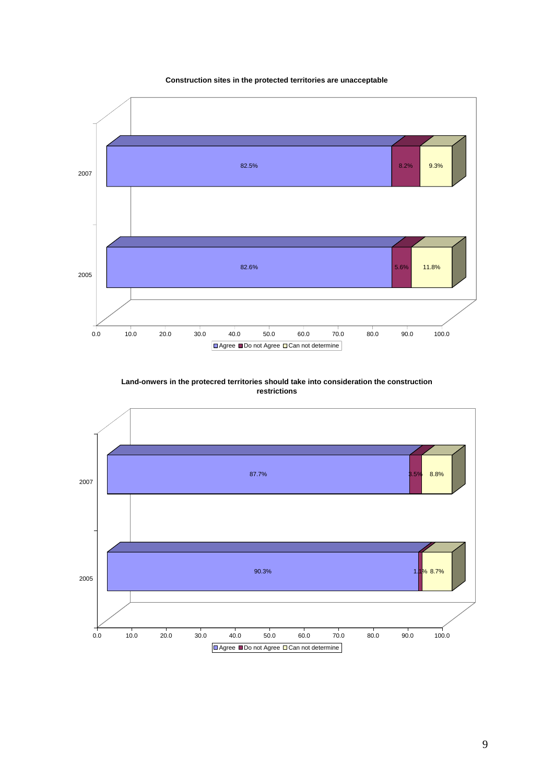



**Land-onwers in the protecred territories should take into consideration the construction restrictions** 



9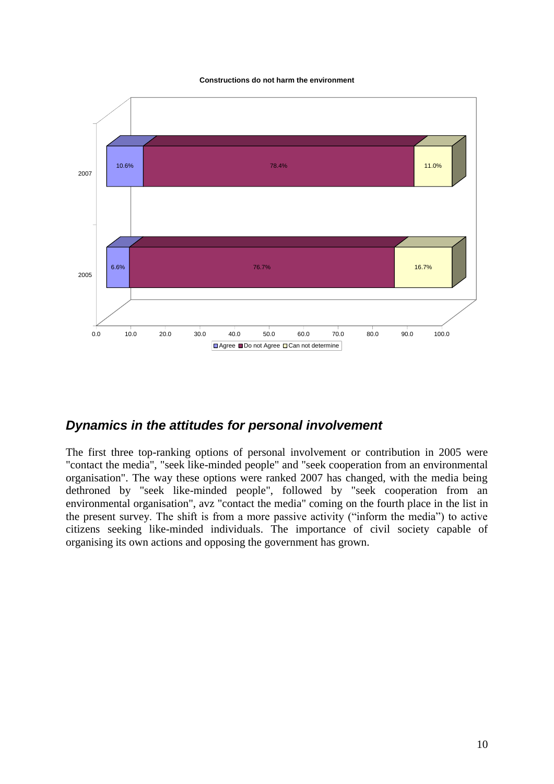**Constructions do not harm the environment** 



### <span id="page-9-0"></span>*Dynamics in the attitudes for personal involvement*

The first three top-ranking options of personal involvement or contribution in 2005 were "contact the media", "seek like-minded people" and "seek cooperation from an environmental organisation". The way these options were ranked 2007 has changed, with the media being dethroned by "seek like-minded people", followed by "seek cooperation from an environmental organisation", avz "contact the media" coming on the fourth place in the list in the present survey. The shift is from a more passive activity ("inform the media") to active citizens seeking like-minded individuals. The importance of civil society capable of organising its own actions and opposing the government has grown.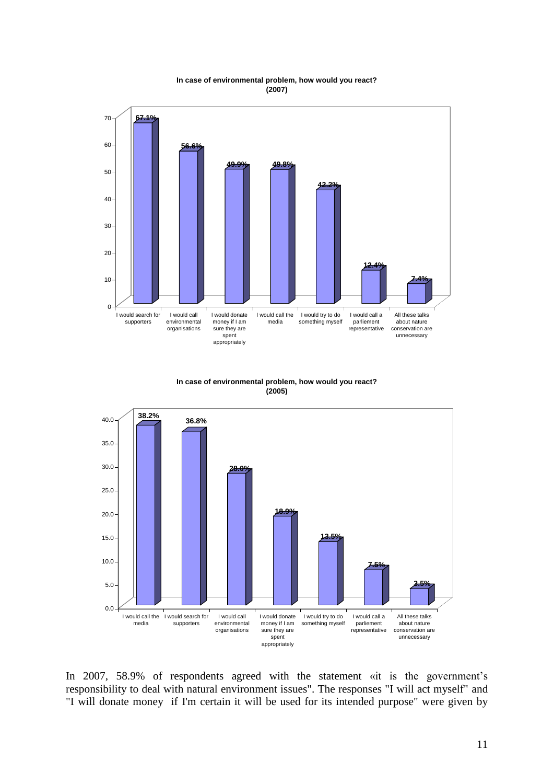

**In case of environmental problem, how would you react? (2007)**

**In case of environmental problem, how would you react? (2005)**



In 2007, 58.9% of respondents agreed with the statement «it is the government's responsibility to deal with natural environment issues". The responses "I will act myself" and "I will donate money if I'm certain it will be used for its intended purpose" were given by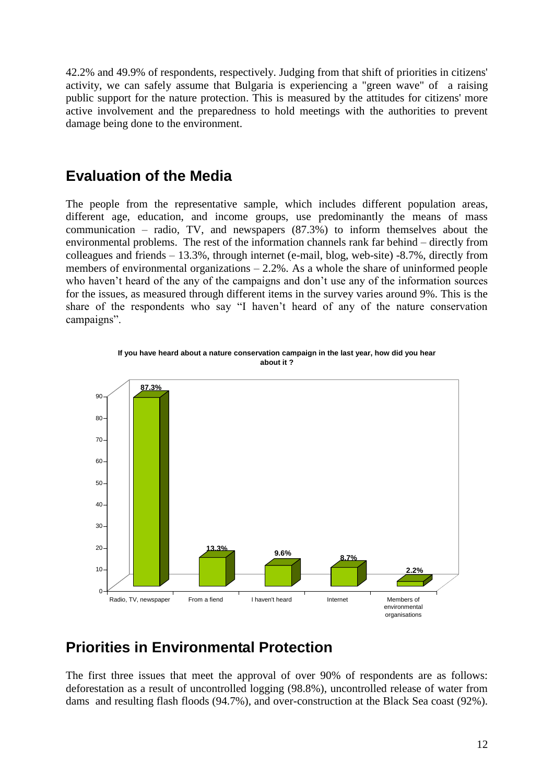42.2% and 49.9% of respondents, respectively. Judging from that shift of priorities in citizens' activity, we can safely assume that Bulgaria is experiencing a "green wave" of a raising public support for the nature protection. This is measured by the attitudes for citizens' more active involvement and the preparedness to hold meetings with the authorities to prevent damage being done to the environment.

### <span id="page-11-0"></span>**Evaluation of the Media**

The people from the representative sample, which includes different population areas, different age, education, and income groups, use predominantly the means of mass communication – radio, TV, and newspapers (87.3%) to inform themselves about the environmental problems. The rest of the information channels rank far behind – directly from colleagues and friends  $-13.3\%$ , through internet (e-mail, blog, web-site)  $-8.7\%$ , directly from members of environmental organizations  $-2.2\%$ . As a whole the share of uninformed people who haven't heard of the any of the campaigns and don't use any of the information sources for the issues, as measured through different items in the survey varies around 9%. This is the share of the respondents who say "I haven't heard of any of the nature conservation campaigns".



**If you have heard about a nature conservation campaign in the last year, how did you hear about it ?**

## <span id="page-11-1"></span>**Priorities in Environmental Protection**

The first three issues that meet the approval of over 90% of respondents are as follows: deforestation as a result of uncontrolled logging (98.8%), uncontrolled release of water from dams and resulting flash floods (94.7%), and over-construction at the Black Sea coast (92%).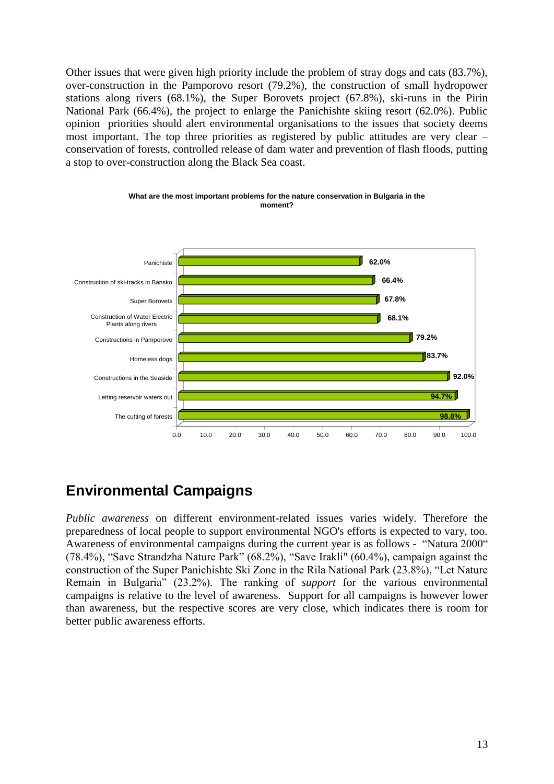Other issues that were given high priority include the problem of stray dogs and cats (83.7%), over-construction in the Pamporovo resort (79.2%), the construction of small hydropower stations along rivers (68.1%), the Super Borovets project (67.8%), ski-runs in the Pirin National Park (66.4%), the project to enlarge the Panichishte skiing resort (62.0%). Public opinion priorities should alert environmental organisations to the issues that society deems most important. The top three priorities as registered by public attitudes are very clear – conservation of forests, controlled release of dam water and prevention of flash floods, putting a stop to over-construction along the Black Sea coast.



**What are the most important problems for the nature conservation in Bulgaria in the moment?**

# <span id="page-12-0"></span>**Environmental Campaigns**

*Public awareness* on different environment-related issues varies widely. Therefore the preparedness of local people to support environmental NGO's efforts is expected to vary, too. Awareness of environmental campaigns during the current year is as follows - "Natura 2000" (78.4%), "Save Strandzha Nature Park" (68.2%), "Save Irakli" (60.4%), campaign against the construction of the Super Panichishte Ski Zone in the Rila National Park (23.8%), "Let Nature Remain in Bulgaria" (23.2%). The ranking of *support* for the various environmental campaigns is relative to the level of awareness. Support for all campaigns is however lower than awareness, but the respective scores are very close, which indicates there is room for better public awareness efforts.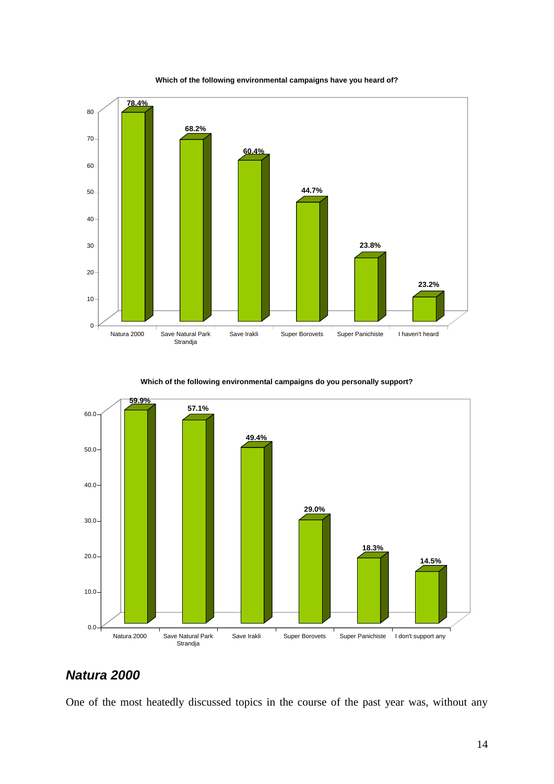

**Which of the following environmental campaigns have you heard of?** 

**Which of the following environmental campaigns do you personally support?** 



### <span id="page-13-0"></span>*Natura 2000*

One of the most heatedly discussed topics in the course of the past year was, without any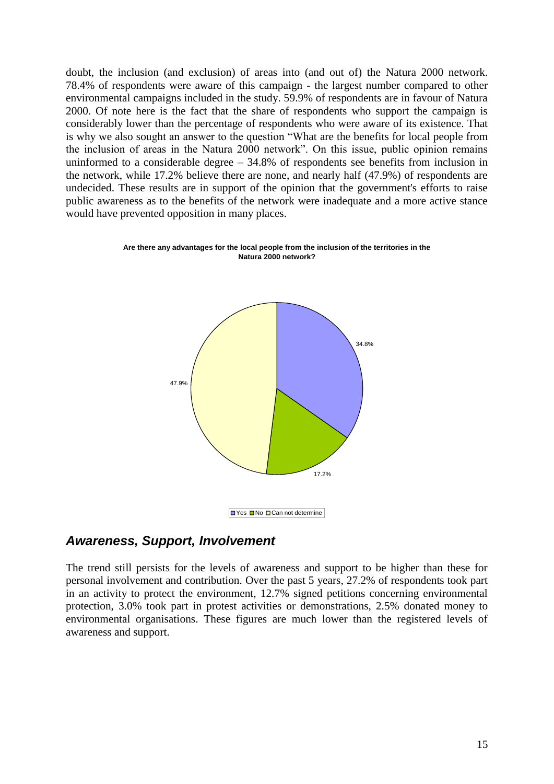doubt, the inclusion (and exclusion) of areas into (and out of) the Natura 2000 network. 78.4% of respondents were aware of this campaign - the largest number compared to other environmental campaigns included in the study. 59.9% of respondents are in favour of Natura 2000. Of note here is the fact that the share of respondents who support the campaign is considerably lower than the percentage of respondents who were aware of its existence. That is why we also sought an answer to the question "What are the benefits for local people from the inclusion of areas in the Natura 2000 network". On this issue, public opinion remains uninformed to a considerable degree – 34.8% of respondents see benefits from inclusion in the network, while 17.2% believe there are none, and nearly half (47.9%) of respondents are undecided. These results are in support of the opinion that the government's efforts to raise public awareness as to the benefits of the network were inadequate and a more active stance would have prevented opposition in many places.



**Are there any advantages for the local people from the inclusion of the territories in the Natura 2000 network?** 

### <span id="page-14-0"></span>*Awareness, Support, Involvement*

The trend still persists for the levels of awareness and support to be higher than these for personal involvement and contribution. Over the past 5 years, 27.2% of respondents took part in an activity to protect the environment, 12.7% signed petitions concerning environmental protection, 3.0% took part in protest activities or demonstrations, 2.5% donated money to environmental organisations. These figures are much lower than the registered levels of awareness and support.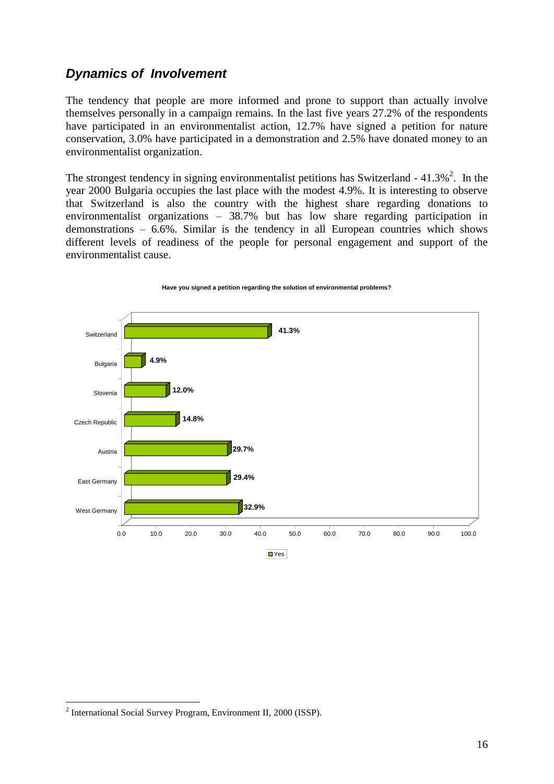### <span id="page-15-0"></span>*Dynamics of Involvement*

The tendency that people are more informed and prone to support than actually involve themselves personally in a campaign remains. In the last five years 27.2% of the respondents have participated in an environmentalist action, 12.7% have signed a petition for nature conservation, 3.0% have participated in a demonstration and 2.5% have donated money to an environmentalist organization.

The strongest tendency in signing environmentalist petitions has Switzerland -  $41.3\%$ <sup>2</sup>. In the year 2000 Bulgaria occupies the last place with the modest 4.9%. It is interesting to observe that Switzerland is also the country with the highest share regarding donations to environmentalist organizations – 38.7% but has low share regarding participation in demonstrations – 6.6%. Similar is the tendency in all European countries which shows different levels of readiness of the people for personal engagement and support of the environmentalist cause.



#### **Have you signed a petition regarding the solution of environmental problems?**

1

<sup>&</sup>lt;sup>2</sup> International Social Survey Program, Environment II, 2000 (ISSP).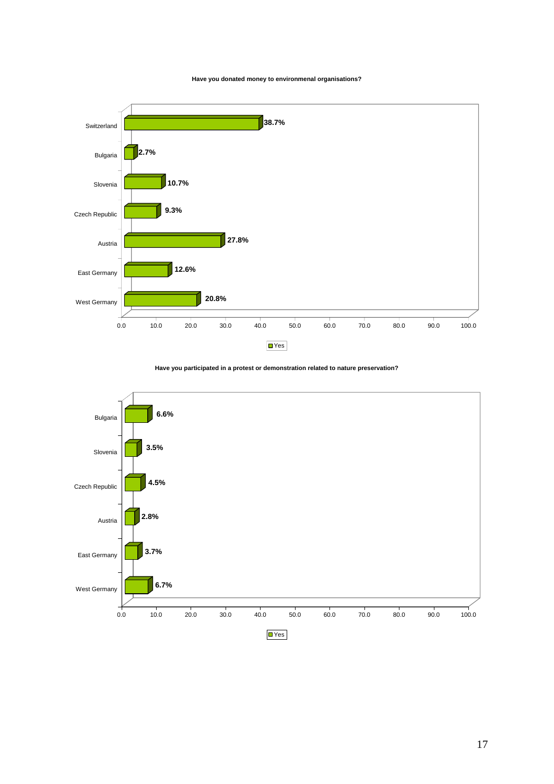#### **Have you donated money to environmenal organisations?**



**Have you participated in a protest or demonstration related to nature preservation?** 

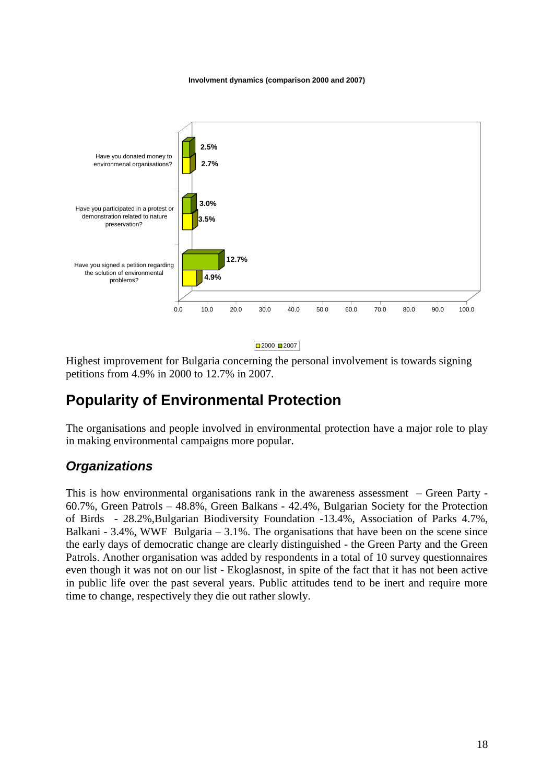**Involvment dynamics (comparison 2000 and 2007)**



■2000 ■2007

Highest improvement for Bulgaria concerning the personal involvement is towards signing petitions from 4.9% in 2000 to 12.7% in 2007.

# <span id="page-17-0"></span>**Popularity of Environmental Protection**

The organisations and people involved in environmental protection have a major role to play in making environmental campaigns more popular.

### <span id="page-17-1"></span>*Organizations*

This is how environmental organisations rank in the awareness assessment – Green Party - 60.7%, Green Patrols – 48.8%, Green Balkans - 42.4%, Bulgarian Society for the Protection of Birds - 28.2%,Bulgarian Biodiversity Foundation -13.4%, Association of Parks 4.7%, Balkani -  $3.4\%$ , WWF Bulgaria  $-3.1\%$ . The organisations that have been on the scene since the early days of democratic change are clearly distinguished - the Green Party and the Green Patrols. Another organisation was added by respondents in a total of 10 survey questionnaires even though it was not on our list - Ekoglasnost, in spite of the fact that it has not been active in public life over the past several years. Public attitudes tend to be inert and require more time to change, respectively they die out rather slowly.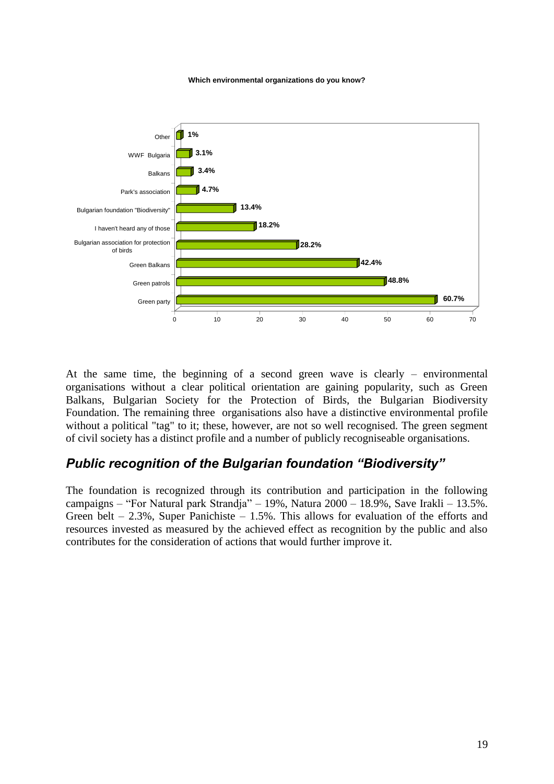**Which environmental organizations do you know?** 



At the same time, the beginning of a second green wave is clearly – environmental organisations without a clear political orientation are gaining popularity, such as Green Balkans, Bulgarian Society for the Protection of Birds, the Bulgarian Biodiversity Foundation. The remaining three organisations also have a distinctive environmental profile without a political "tag" to it; these, however, are not so well recognised. The green segment of civil society has a distinct profile and a number of publicly recogniseable organisations.

### <span id="page-18-0"></span>*Public recognition of the Bulgarian foundation "Biodiversity"*

The foundation is recognized through its contribution and participation in the following campaigns – "For Natural park Strandja" – 19%, Natura 2000 – 18.9%, Save Irakli – 13.5%. Green belt – 2.3%, Super Panichiste – 1.5%. This allows for evaluation of the efforts and resources invested as measured by the achieved effect as recognition by the public and also contributes for the consideration of actions that would further improve it.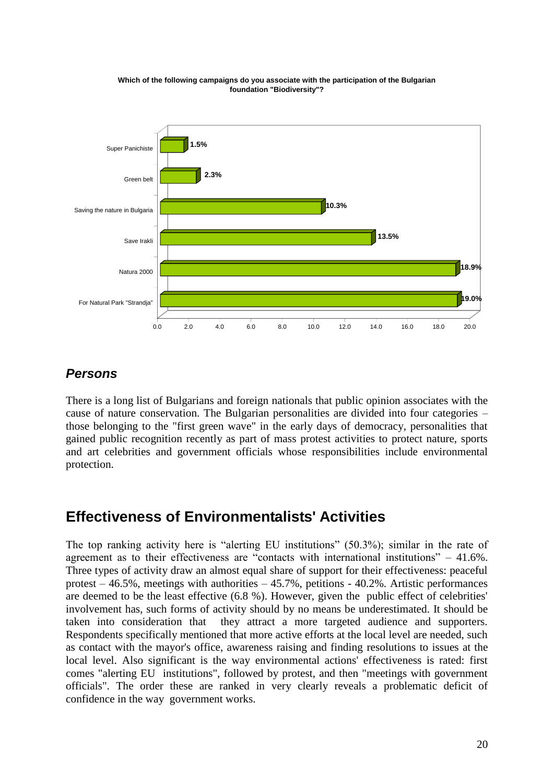

**Which of the following campaigns do you associate with the participation of the Bulgarian foundation "Biodiversity"?** 

### <span id="page-19-0"></span>*Persons*

There is a long list of Bulgarians and foreign nationals that public opinion associates with the cause of nature conservation. The Bulgarian personalities are divided into four categories – those belonging to the "first green wave" in the early days of democracy, personalities that gained public recognition recently as part of mass protest activities to protect nature, sports and art celebrities and government officials whose responsibilities include environmental protection.

# <span id="page-19-1"></span>**Effectiveness of Environmentalists' Activities**

The top ranking activity here is "alerting EU institutions" (50.3%); similar in the rate of agreement as to their effectiveness are "contacts with international institutions" – 41.6%. Three types of activity draw an almost equal share of support for their effectiveness: peaceful protest – 46.5%, meetings with authorities – 45.7%, petitions - 40.2%. Artistic performances are deemed to be the least effective (6.8 %). However, given the public effect of celebrities' involvement has, such forms of activity should by no means be underestimated. It should be taken into consideration that they attract a more targeted audience and supporters. Respondents specifically mentioned that more active efforts at the local level are needed, such as contact with the mayor's office, awareness raising and finding resolutions to issues at the local level. Also significant is the way environmental actions' effectiveness is rated: first comes "alerting EU institutions", followed by protest, and then "meetings with government officials". The order these are ranked in very clearly reveals a problematic deficit of confidence in the way government works.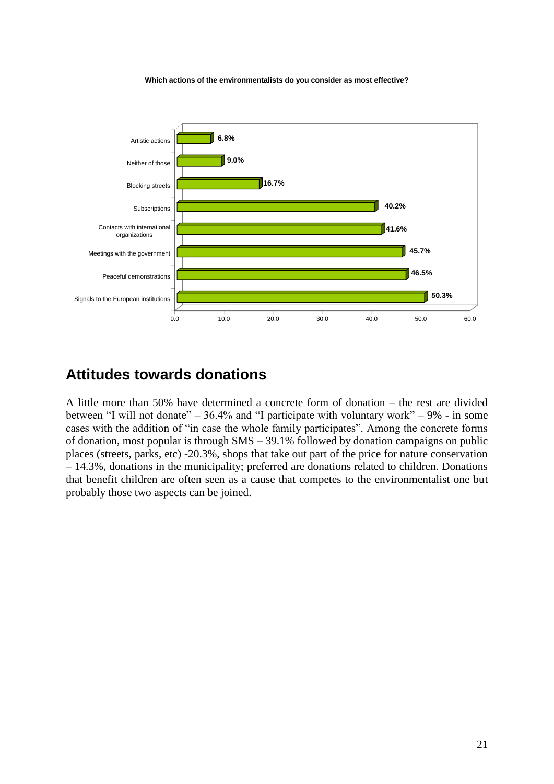**Which actions of the environmentalists do you consider as most effective?** 



# <span id="page-20-0"></span>**Attitudes towards donations**

A little more than 50% have determined a concrete form of donation – the rest are divided between "I will not donate" –  $36.4\%$  and "I participate with voluntary work" –  $9\%$  - in some cases with the addition of "in case the whole family participates". Among the concrete forms of donation, most popular is through SMS – 39.1% followed by donation campaigns on public places (streets, parks, etc) -20.3%, shops that take out part of the price for nature conservation – 14.3%, donations in the municipality; preferred are donations related to children. Donations that benefit children are often seen as a cause that competes to the environmentalist one but probably those two aspects can be joined.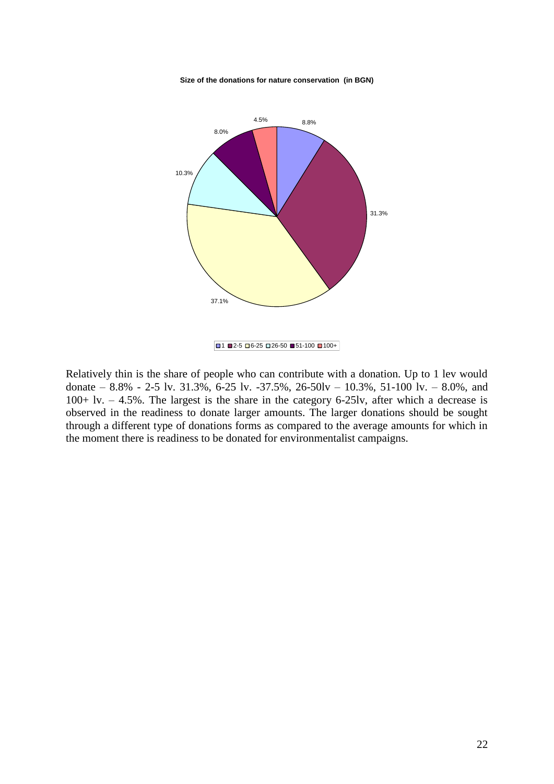



Relatively thin is the share of people who can contribute with a donation. Up to 1 lev would donate – 8.8% - 2-5 lv. 31.3%, 6-25 lv. -37.5%, 26-50lv – 10.3%, 51-100 lv. – 8.0%, and 100+ lv. – 4.5%. The largest is the share in the category 6-25lv, after which a decrease is observed in the readiness to donate larger amounts. The larger donations should be sought through a different type of donations forms as compared to the average amounts for which in the moment there is readiness to be donated for environmentalist campaigns.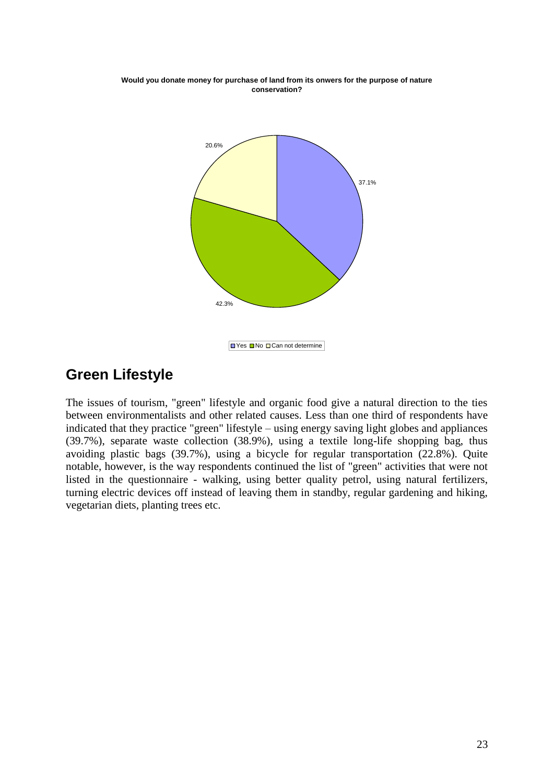

**Would you donate money for purchase of land from its onwers for the purpose of nature conservation?** 

# <span id="page-22-0"></span>**Green Lifestyle**

The issues of tourism, "green" lifestyle and organic food give a natural direction to the ties between environmentalists and other related causes. Less than one third of respondents have indicated that they practice "green" lifestyle – using energy saving light globes and appliances (39.7%), separate waste collection (38.9%), using a textile long-life shopping bag, thus avoiding plastic bags (39.7%), using a bicycle for regular transportation (22.8%). Quite notable, however, is the way respondents continued the list of "green" activities that were not listed in the questionnaire - walking, using better quality petrol, using natural fertilizers, turning electric devices off instead of leaving them in standby, regular gardening and hiking, vegetarian diets, planting trees etc.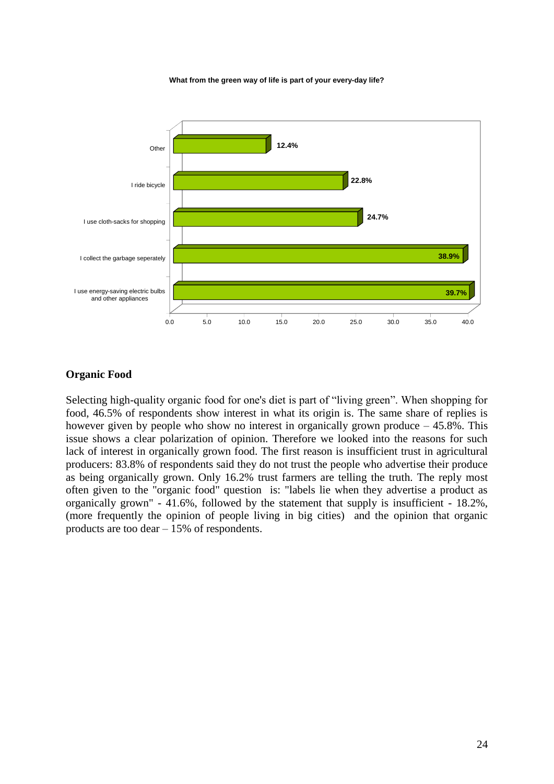**What from the green way of life is part of your every-day life?** 



#### **Organic Food**

Selecting high-quality organic food for one's diet is part of "living green". When shopping for food, 46.5% of respondents show interest in what its origin is. The same share of replies is however given by people who show no interest in organically grown produce  $-45.8\%$ . This issue shows a clear polarization of opinion. Therefore we looked into the reasons for such lack of interest in organically grown food. The first reason is insufficient trust in agricultural producers: 83.8% of respondents said they do not trust the people who advertise their produce as being organically grown. Only 16.2% trust farmers are telling the truth. The reply most often given to the "organic food" question is: "labels lie when they advertise a product as organically grown" - 41.6%, followed by the statement that supply is insufficient - 18.2%, (more frequently the opinion of people living in big cities) and the opinion that organic products are too dear – 15% of respondents.